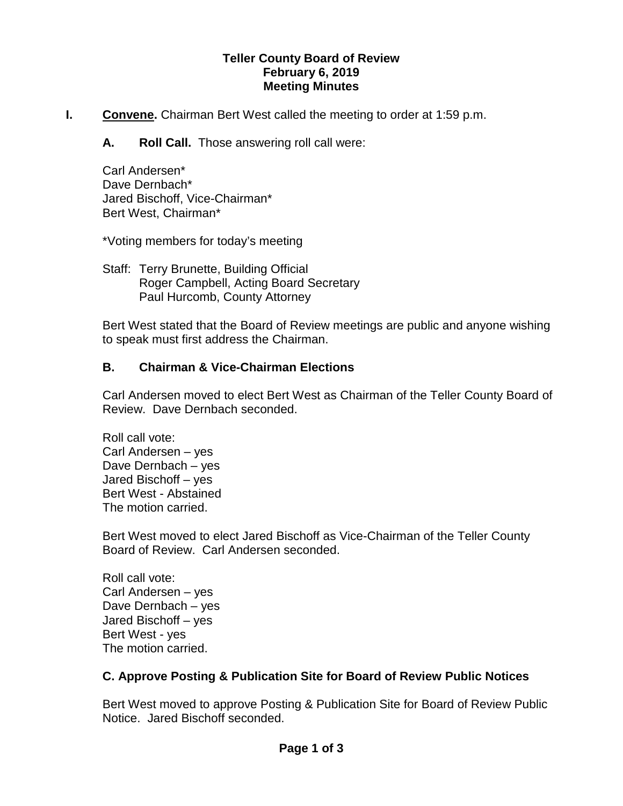#### **Teller County Board of Review February 6, 2019 Meeting Minutes**

- **I. Convene.** Chairman Bert West called the meeting to order at 1:59 p.m.
	- **A. Roll Call.** Those answering roll call were:

Carl Andersen\* Dave Dernbach\* Jared Bischoff, Vice-Chairman\* Bert West, Chairman\*

\*Voting members for today's meeting

Staff: Terry Brunette, Building Official Roger Campbell, Acting Board Secretary Paul Hurcomb, County Attorney

Bert West stated that the Board of Review meetings are public and anyone wishing to speak must first address the Chairman.

## **B. Chairman & Vice-Chairman Elections**

Carl Andersen moved to elect Bert West as Chairman of the Teller County Board of Review. Dave Dernbach seconded.

Roll call vote: Carl Andersen – yes Dave Dernbach – yes Jared Bischoff – yes Bert West - Abstained The motion carried.

Bert West moved to elect Jared Bischoff as Vice-Chairman of the Teller County Board of Review. Carl Andersen seconded.

Roll call vote: Carl Andersen – yes Dave Dernbach – yes Jared Bischoff – yes Bert West - yes The motion carried.

## **C. Approve Posting & Publication Site for Board of Review Public Notices**

Bert West moved to approve Posting & Publication Site for Board of Review Public Notice. Jared Bischoff seconded.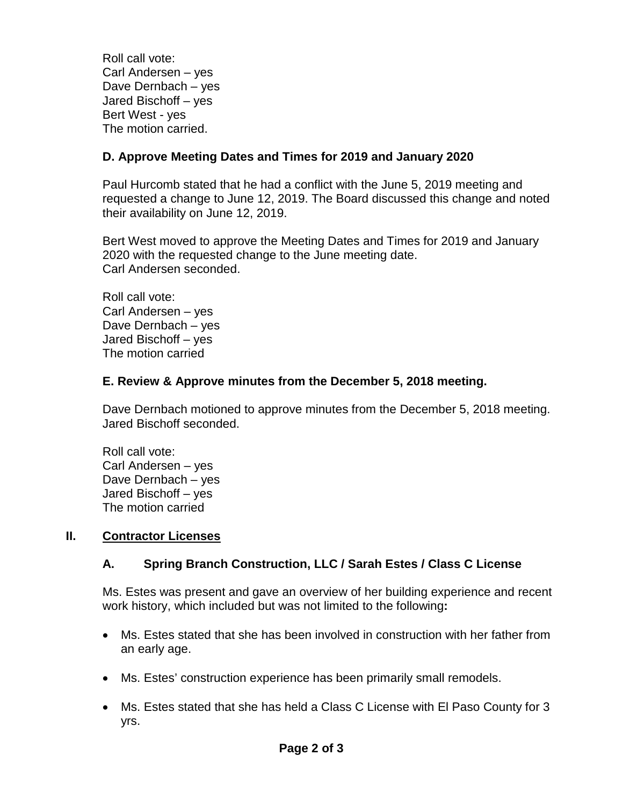Roll call vote: Carl Andersen – yes Dave Dernbach – yes Jared Bischoff – yes Bert West - yes The motion carried.

# **D. Approve Meeting Dates and Times for 2019 and January 2020**

Paul Hurcomb stated that he had a conflict with the June 5, 2019 meeting and requested a change to June 12, 2019. The Board discussed this change and noted their availability on June 12, 2019.

Bert West moved to approve the Meeting Dates and Times for 2019 and January 2020 with the requested change to the June meeting date. Carl Andersen seconded.

Roll call vote: Carl Andersen – yes Dave Dernbach – yes Jared Bischoff – yes The motion carried

## **E. Review & Approve minutes from the December 5, 2018 meeting.**

Dave Dernbach motioned to approve minutes from the December 5, 2018 meeting. Jared Bischoff seconded.

Roll call vote: Carl Andersen – yes Dave Dernbach – yes Jared Bischoff – yes The motion carried

## **II. Contractor Licenses**

## **A. Spring Branch Construction, LLC / Sarah Estes / Class C License**

Ms. Estes was present and gave an overview of her building experience and recent work history, which included but was not limited to the following**:**

- Ms. Estes stated that she has been involved in construction with her father from an early age.
- Ms. Estes' construction experience has been primarily small remodels.
- Ms. Estes stated that she has held a Class C License with El Paso County for 3 yrs.